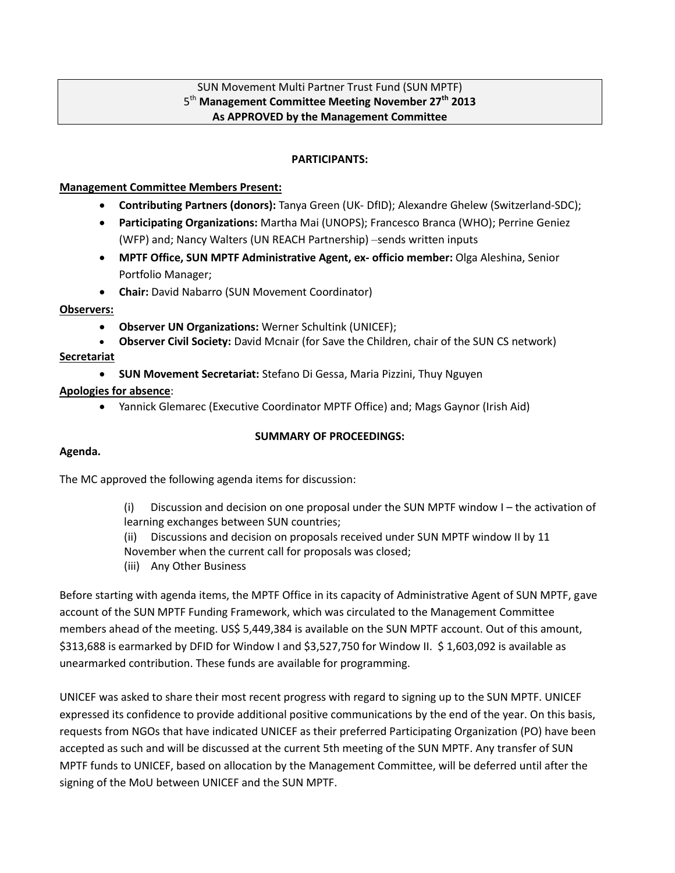# SUN Movement Multi Partner Trust Fund (SUN MPTF) 5 th **Management Committee Meeting November 27th 2013 As APPROVED by the Management Committee**

### **PARTICIPANTS:**

### **Management Committee Members Present:**

- **Contributing Partners (donors):** Tanya Green (UK- DfID); Alexandre Ghelew (Switzerland-SDC);
- **Participating Organizations:** Martha Mai (UNOPS); Francesco Branca (WHO); Perrine Geniez (WFP) and; Nancy Walters (UN REACH Partnership) –sends written inputs
- **MPTF Office, SUN MPTF Administrative Agent, ex- officio member:** Olga Aleshina, Senior Portfolio Manager;
- **Chair:** David Nabarro (SUN Movement Coordinator)

### **Observers:**

- **Observer UN Organizations:** Werner Schultink (UNICEF);
- **Observer Civil Society:** David Mcnair (for Save the Children, chair of the SUN CS network)

### **Secretariat**

**SUN Movement Secretariat:** Stefano Di Gessa, Maria Pizzini, Thuy Nguyen

# **Apologies for absence**:

Yannick Glemarec (Executive Coordinator MPTF Office) and; Mags Gaynor (Irish Aid)

# **SUMMARY OF PROCEEDINGS:**

# **Agenda.**

The MC approved the following agenda items for discussion:

- (i) Discussion and decision on one proposal under the SUN MPTF window I the activation of learning exchanges between SUN countries;
- (ii) Discussions and decision on proposals received under SUN MPTF window II by 11
- November when the current call for proposals was closed;
- (iii) Any Other Business

Before starting with agenda items, the MPTF Office in its capacity of Administrative Agent of SUN MPTF, gave account of the SUN MPTF Funding Framework, which was circulated to the Management Committee members ahead of the meeting. US\$ 5,449,384 is available on the SUN MPTF account. Out of this amount, \$313,688 is earmarked by DFID for Window I and \$3,527,750 for Window II. \$ 1,603,092 is available as unearmarked contribution. These funds are available for programming.

UNICEF was asked to share their most recent progress with regard to signing up to the SUN MPTF. UNICEF expressed its confidence to provide additional positive communications by the end of the year. On this basis, requests from NGOs that have indicated UNICEF as their preferred Participating Organization (PO) have been accepted as such and will be discussed at the current 5th meeting of the SUN MPTF. Any transfer of SUN MPTF funds to UNICEF, based on allocation by the Management Committee, will be deferred until after the signing of the MoU between UNICEF and the SUN MPTF.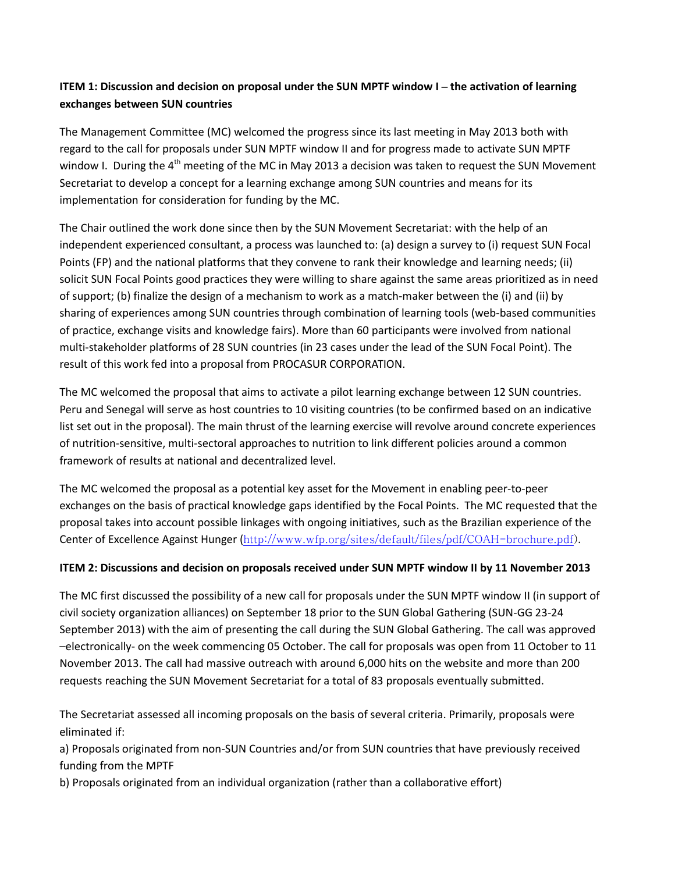# **ITEM 1: Discussion and decision on proposal under the SUN MPTF window I – the activation of learning exchanges between SUN countries**

The Management Committee (MC) welcomed the progress since its last meeting in May 2013 both with regard to the call for proposals under SUN MPTF window II and for progress made to activate SUN MPTF window I. During the 4<sup>th</sup> meeting of the MC in May 2013 a decision was taken to request the SUN Movement Secretariat to develop a concept for a learning exchange among SUN countries and means for its implementation for consideration for funding by the MC.

The Chair outlined the work done since then by the SUN Movement Secretariat: with the help of an independent experienced consultant, a process was launched to: (a) design a survey to (i) request SUN Focal Points (FP) and the national platforms that they convene to rank their knowledge and learning needs; (ii) solicit SUN Focal Points good practices they were willing to share against the same areas prioritized as in need of support; (b) finalize the design of a mechanism to work as a match-maker between the (i) and (ii) by sharing of experiences among SUN countries through combination of learning tools (web-based communities of practice, exchange visits and knowledge fairs). More than 60 participants were involved from national multi-stakeholder platforms of 28 SUN countries (in 23 cases under the lead of the SUN Focal Point). The result of this work fed into a proposal from PROCASUR CORPORATION.

The MC welcomed the proposal that aims to activate a pilot learning exchange between 12 SUN countries. Peru and Senegal will serve as host countries to 10 visiting countries (to be confirmed based on an indicative list set out in the proposal). The main thrust of the learning exercise will revolve around concrete experiences of nutrition-sensitive, multi-sectoral approaches to nutrition to link different policies around a common framework of results at national and decentralized level.

The MC welcomed the proposal as a potential key asset for the Movement in enabling peer-to-peer exchanges on the basis of practical knowledge gaps identified by the Focal Points. The MC requested that the proposal takes into account possible linkages with ongoing initiatives, such as the Brazilian experience of the Center of Excellence Against Hunger ([http://www.wfp.org/sites/default/files/pdf/COAH-brochure.pdf\)](http://www.wfp.org/sites/default/files/pdf/COAH-brochure.pdf).

# **ITEM 2: Discussions and decision on proposals received under SUN MPTF window II by 11 November 2013**

The MC first discussed the possibility of a new call for proposals under the SUN MPTF window II (in support of civil society organization alliances) on September 18 prior to the SUN Global Gathering (SUN-GG 23-24 September 2013) with the aim of presenting the call during the SUN Global Gathering. The call was approved –electronically- on the week commencing 05 October. The call for proposals was open from 11 October to 11 November 2013. The call had massive outreach with around 6,000 hits on the website and more than 200 requests reaching the SUN Movement Secretariat for a total of 83 proposals eventually submitted.

The Secretariat assessed all incoming proposals on the basis of several criteria. Primarily, proposals were eliminated if:

a) Proposals originated from non-SUN Countries and/or from SUN countries that have previously received funding from the MPTF

b) Proposals originated from an individual organization (rather than a collaborative effort)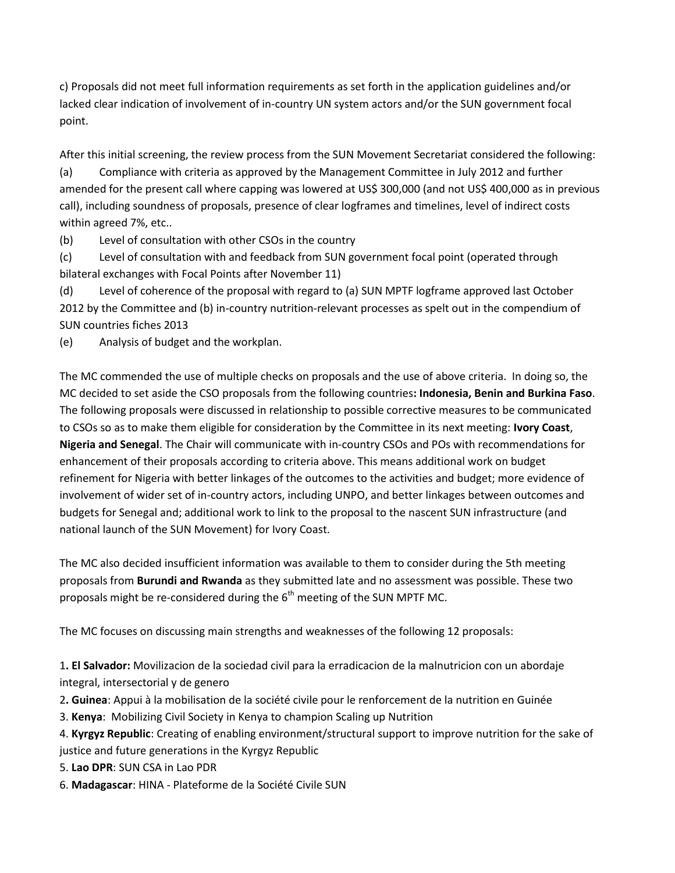c) Proposals did not meet full information requirements as set forth in the application guidelines and/or lacked clear indication of involvement of in-country UN system actors and/or the SUN government focal point.

After this initial screening, the review process from the SUN Movement Secretariat considered the following:

(a) Compliance with criteria as approved by the Management Committee in July 2012 and further amended for the present call where capping was lowered at US\$ 300,000 (and not US\$ 400,000 as in previous call), including soundness of proposals, presence of clear logframes and timelines, level of indirect costs within agreed 7%, etc..

(b) Level of consultation with other CSOs in the country

(c) Level of consultation with and feedback from SUN government focal point (operated through bilateral exchanges with Focal Points after November 11)

(d) Level of coherence of the proposal with regard to (a) SUN MPTF logframe approved last October 2012 by the Committee and (b) in-country nutrition-relevant processes as spelt out in the compendium of SUN countries fiches 2013

(e) Analysis of budget and the workplan.

The MC commended the use of multiple checks on proposals and the use of above criteria. In doing so, the MC decided to set aside the CSO proposals from the following countries**: Indonesia, Benin and Burkina Faso**. The following proposals were discussed in relationship to possible corrective measures to be communicated to CSOs so as to make them eligible for consideration by the Committee in its next meeting: **Ivory Coast**, **Nigeria and Senegal**. The Chair will communicate with in-country CSOs and POs with recommendations for enhancement of their proposals according to criteria above. This means additional work on budget refinement for Nigeria with better linkages of the outcomes to the activities and budget; more evidence of involvement of wider set of in-country actors, including UNPO, and better linkages between outcomes and budgets for Senegal and; additional work to link to the proposal to the nascent SUN infrastructure (and national launch of the SUN Movement) for Ivory Coast.

The MC also decided insufficient information was available to them to consider during the 5th meeting proposals from **Burundi and Rwanda** as they submitted late and no assessment was possible. These two proposals might be re-considered during the  $6<sup>th</sup>$  meeting of the SUN MPTF MC.

The MC focuses on discussing main strengths and weaknesses of the following 12 proposals:

1**. El Salvador:** Movilizacion de la sociedad civil para la erradicacion de la malnutricion con un abordaje integral, intersectorial y de genero

- 2**. Guinea**: Appui à la mobilisation de la société civile pour le renforcement de la nutrition en Guinée
- 3. **Kenya**: Mobilizing Civil Society in Kenya to champion Scaling up Nutrition

4. **Kyrgyz Republic**: Creating of enabling environment/structural support to improve nutrition for the sake of justice and future generations in the Kyrgyz Republic

5. **Lao DPR**: SUN CSA in Lao PDR

6. **Madagascar**: HINA - Plateforme de la Société Civile SUN